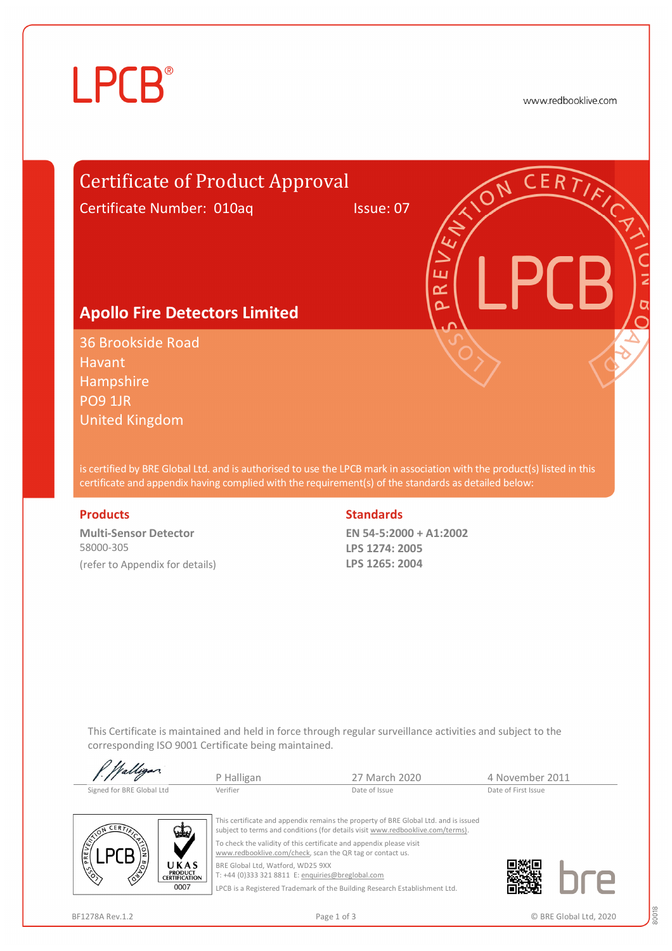# **LPCB**®

www.redbooklive.com

# Certificate of Product Approval

Certificate Number: 010aq Issue: 07

ய œ  $\overline{\Omega}$ 

### **Apollo Fire Detectors Limited**

36 Brookside Road Havant Hampshire PO9 1JR United Kingdom

is certified by BRE Global Ltd. and is authorised to use the LPCB mark in association with the product(s) listed in this certificate and appendix having complied with the requirement(s) of the standards as detailed below:

**Multi-Sensor Detector**  58000-305 (refer to Appendix for details)

#### **Products** Standards **Standards**

**EN 54-5:2000 + A1:2002 LPS 1274: 2005 LPS 1265: 2004**

This Certificate is maintained and held in force through regular surveillance activities and subject to the corresponding ISO 9001 Certificate being maintained.

| P. Walligan               | P Halligan | 27 March 2020 | 4 November 2011     |  |
|---------------------------|------------|---------------|---------------------|--|
| Signed for BRE Global Ltd | Verifier   | Date of Issue | Date of First Issue |  |



This certificate and appendix remains the property of BRE Global Ltd. and is issued subject to terms and conditions (for details visit [www.redbooklive.com/terms\).](http://www.redbooklive.com/terms)) To check the validity of this certificate and appendix please visit [www.redbooklive.com/check](http://www.redbooklive.com/check), scan the QR tag or contact us.

BRE Global Ltd, Watford, WD25 9XX T: +44 (0)333 321 8811 E: [enquiries@breglobal.com](mailto:enquiries@breglobal.com)

LPCB is a Registered Trademark of the Building Research Establishment Ltd.

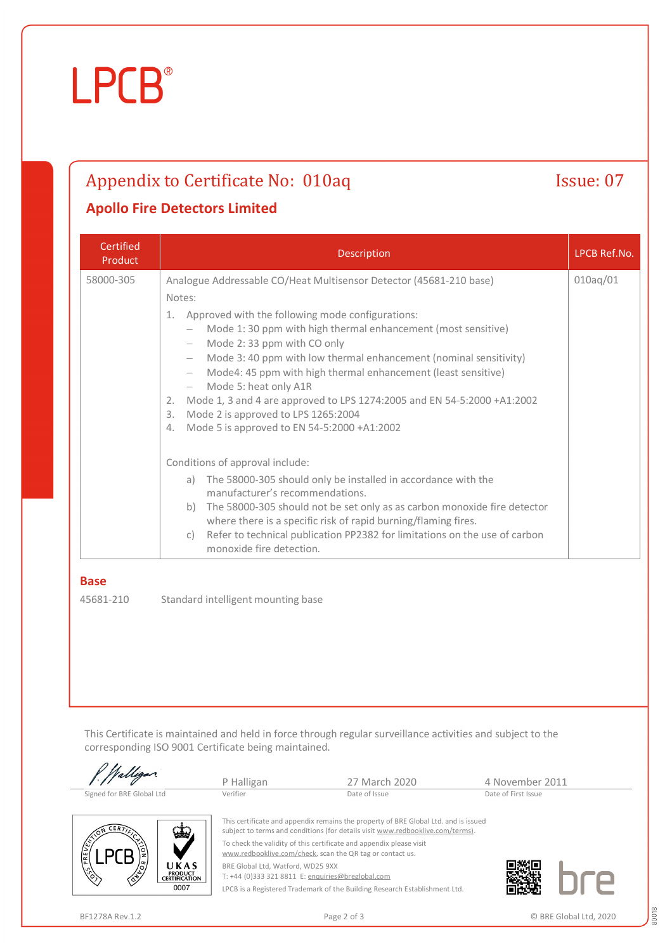# **LPCB**®

## Appendix to Certificate No: 010aq Issue: 07

### **Apollo Fire Detectors Limited**

| Certified<br>Product | <b>Description</b>                                                                                                                                                                                                                                                                                                                                                                                                                                                                                                                                                                                                                                                                     | LPCB Ref.No. |
|----------------------|----------------------------------------------------------------------------------------------------------------------------------------------------------------------------------------------------------------------------------------------------------------------------------------------------------------------------------------------------------------------------------------------------------------------------------------------------------------------------------------------------------------------------------------------------------------------------------------------------------------------------------------------------------------------------------------|--------------|
| 58000-305            | Analogue Addressable CO/Heat Multisensor Detector (45681-210 base)<br>Notes:<br>Approved with the following mode configurations:<br>$\mathbf{1}$ .<br>Mode 1:30 ppm with high thermal enhancement (most sensitive)<br>Mode 2:33 ppm with CO only<br>$\overline{\phantom{0}}$<br>Mode 3: 40 ppm with low thermal enhancement (nominal sensitivity)<br>Mode4: 45 ppm with high thermal enhancement (least sensitive)<br>$\overline{\phantom{0}}$<br>Mode 5: heat only A1R<br>$\overline{\phantom{0}}$<br>Mode 1, 3 and 4 are approved to LPS 1274:2005 and EN 54-5:2000 +A1:2002<br>2.<br>Mode 2 is approved to LPS 1265:2004<br>3.<br>Mode 5 is approved to EN 54-5:2000 +A1:2002<br>4. | 010aq/01     |
|                      | Conditions of approval include:<br>a) The 58000-305 should only be installed in accordance with the<br>manufacturer's recommendations.<br>The 58000-305 should not be set only as as carbon monoxide fire detector<br>b)<br>where there is a specific risk of rapid burning/flaming fires.<br>Refer to technical publication PP2382 for limitations on the use of carbon<br>C)<br>monoxide fire detection.                                                                                                                                                                                                                                                                             |              |

#### **Base**

45681-210 Standard intelligent mounting base

This Certificate is maintained and held in force through regular surveillance activities and subject to the corresponding ISO 9001 Certificate being maintained.

|                                                                             | P Halligan                                        | 27 March 2020                                                                                                                                                                                                                                                                                             | 4 November 2011     |
|-----------------------------------------------------------------------------|---------------------------------------------------|-----------------------------------------------------------------------------------------------------------------------------------------------------------------------------------------------------------------------------------------------------------------------------------------------------------|---------------------|
| Signed for BRE Global Ltd                                                   | Verifier                                          | Date of Issue                                                                                                                                                                                                                                                                                             | Date of First Issue |
| CERT.<br>√طع<br>PREVENT<br>/ී/<br>UKAS                                      | BRE Global Ltd, Watford, WD25 9XX                 | This certificate and appendix remains the property of BRE Global Ltd. and is issued<br>subject to terms and conditions (for details visit www.redbooklive.com/terms).<br>To check the validity of this certificate and appendix please visit<br>www.redbooklive.com/check, scan the QR tag or contact us. |                     |
| $\mathcal{L}_{\mathcal{S}}$<br><b>PRODUCT</b><br>∕È<br><b>CERTIFICATION</b> | T: +44 (0)333 321 8811 E: enquiries@breglobal.com |                                                                                                                                                                                                                                                                                                           |                     |
| 0007                                                                        |                                                   | LPCB is a Registered Trademark of the Building Research Establishment Ltd.                                                                                                                                                                                                                                |                     |

80018